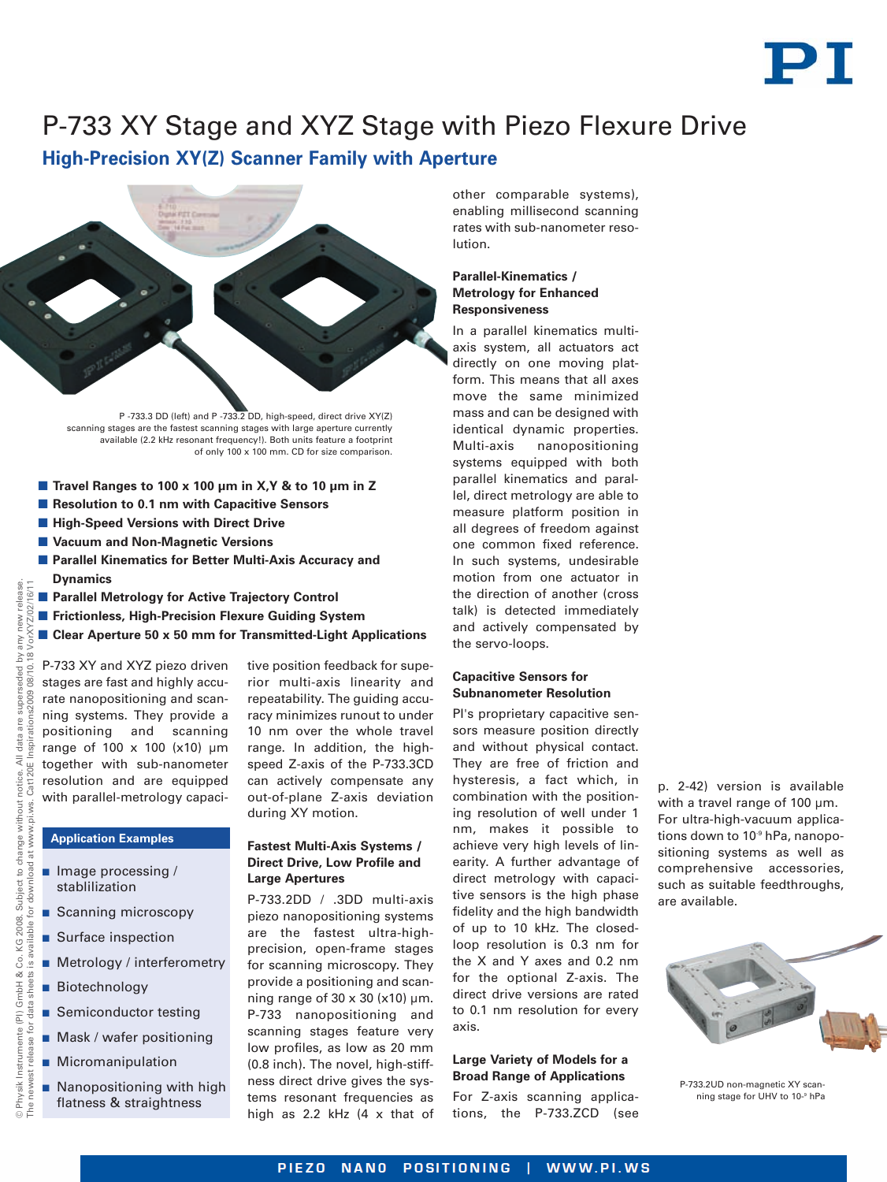

# P-733 XY Stage and XYZ Stage with Piezo Flexure Drive

**High-Precision XY(Z) Scanner Family with Aperture**



P -733.3 DD (left) and P -733.2 DD, high-speed, direct drive XY(Z) scanning stages are the fastest scanning stages with large aperture currently available (2.2 kHz resonant frequency!). Both units feature a footprint of only 100 x 100 mm. CD for size comparison.

- **Travel Ranges to 100 x 100 µm in X,Y & to 10 µm in Z**
- Resolution to 0.1 nm with Capacitive Sensors
- **High-Speed Versions with Direct Drive**
- **Vacuum and Non-Magnetic Versions**
- **Parallel Kinematics for Better Multi-Axis Accuracy and Dynamics**
- **Parallel Metrology for Active Trajectory Control**
- **Frictionless, High-Precision Flexure Guiding System**
- Clear Aperture 50 x 50 mm for Transmitted-Light Applications

P-733 XY and XYZ piezo driven stages are fast and highly accurate nanopositioning and scanning systems. They provide a positioning and scanning range of 100 x 100 (x10) µm together with sub-nanometer resolution and are equipped with parallel-metrology capaci-

**Application Examples**

 $\blacksquare$  Image processing / stablilization

**Biotechnology** 

Scanning microscopy Surface inspection

■ Semiconductor testing **Mask / wafer positioning** 

**Micromanipulation** 

**Metrology / interferometry** 

 Nanopositioning with high flatness & straightness

### **Fastest Multi-Axis Systems / Direct Drive, Low Profile and Large Apertures**

during XY motion.

P-733.2DD / .3DD multi-axis piezo nanopositioning systems are the fastest ultra-highprecision, open-frame stages for scanning microscopy. They provide a positioning and scanning range of  $30 \times 30$  (x10) µm. P-733 nanopositioning and scanning stages feature very low profiles, as low as 20 mm (0.8 inch). The novel, high-stiffness direct drive gives the systems resonant frequencies as high as 2.2 kHz (4 x that of

tive position feedback for superior multi-axis linearity and repeatability. The guiding accuracy minimizes runout to under 10 nm over the whole travel range. In addition, the highspeed Z-axis of the P-733.3CD can actively compensate any out-of-plane Z-axis deviation

other comparable systems), enabling millisecond scanning rates with sub-nanometer resolution.

## **Parallel-Kinematics / Metrology for Enhanced Responsiveness**

In a parallel kinematics multiaxis system, all actuators act directly on one moving platform. This means that all axes move the same minimized mass and can be designed with identical dynamic properties. Multi-axis nanopositioning systems equipped with both parallel kinematics and parallel, direct metrology are able to measure platform position in all degrees of freedom against one common fixed reference. In such systems, undesirable motion from one actuator in the direction of another (cross talk) is detected immediately and actively compensated by the servo-loops.

## **Capacitive Sensors for Subnanometer Resolution**

PI's proprietary capacitive sensors measure position directly and without physical contact. They are free of friction and hysteresis, a fact which, in combination with the positioning resolution of well under 1 nm, makes it possible to achieve very high levels of linearity. A further advantage of direct metrology with capacitive sensors is the high phase fidelity and the high bandwidth of up to 10 kHz. The closedloop resolution is 0.3 nm for the X and Y axes and 0.2 nm for the optional Z-axis. The direct drive versions are rated to 0.1 nm resolution for every axis.

#### **Large Variety of Models for a Broad Range of Applications**

For Z-axis scanning applications, the P-733.ZCD (see

p. 2-42) version is available with a travel range of 100 um. For ultra-high-vacuum applications down to 10<sup>-9</sup> hPa, nanopositioning systems as well as comprehensive accessories, such as suitable feedthroughs, are available.

P-733.2UD non-magnetic XY scanning stage for UHV to 10-9 hPa

 $\frac{p}{n}$